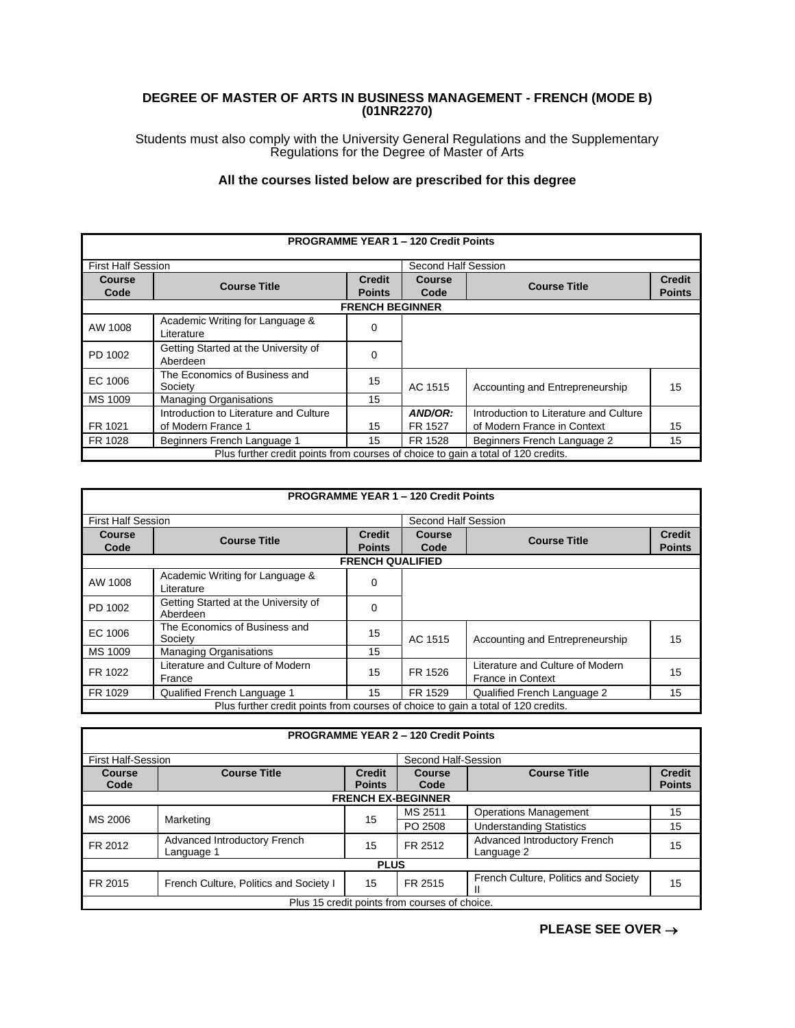## **DEGREE OF MASTER OF ARTS IN BUSINESS MANAGEMENT - FRENCH (MODE B) (01NR2270)**

Students must also comply with the University General Regulations and the Supplementary Regulations for the Degree of Master of Arts

## **All the courses listed below are prescribed for this degree**

|                                                                                   |                                        |                                | <b>PROGRAMME YEAR 1 - 120 Credit Points</b> |                                        |               |
|-----------------------------------------------------------------------------------|----------------------------------------|--------------------------------|---------------------------------------------|----------------------------------------|---------------|
| <b>First Half Session</b>                                                         |                                        |                                | Second Half Session                         |                                        |               |
| Course                                                                            | <b>Course Title</b>                    | <b>Credit</b><br><b>Course</b> | <b>Course Title</b>                         | <b>Credit</b>                          |               |
| Code                                                                              |                                        | <b>Points</b>                  | Code                                        |                                        | <b>Points</b> |
|                                                                                   |                                        | <b>FRENCH BEGINNER</b>         |                                             |                                        |               |
| AW 1008                                                                           | Academic Writing for Language &        | $\Omega$                       |                                             |                                        |               |
|                                                                                   | Literature                             |                                |                                             |                                        |               |
| PD 1002                                                                           | Getting Started at the University of   | $\Omega$                       |                                             |                                        |               |
|                                                                                   | Aberdeen                               |                                |                                             |                                        |               |
| EC 1006                                                                           | The Economics of Business and          | 15                             |                                             |                                        |               |
|                                                                                   | Society                                |                                | AC 1515                                     | Accounting and Entrepreneurship        | 15            |
| MS 1009                                                                           | <b>Managing Organisations</b>          | 15                             |                                             |                                        |               |
|                                                                                   | Introduction to Literature and Culture |                                | AND/OR:                                     | Introduction to Literature and Culture |               |
| FR 1021                                                                           | of Modern France 1                     | 15                             | FR 1527                                     | of Modern France in Context            | 15            |
| FR 1028                                                                           | Beginners French Language 1            | 15                             | FR 1528                                     | Beginners French Language 2            | 15            |
| Plus further credit points from courses of choice to gain a total of 120 credits. |                                        |                                |                                             |                                        |               |

|                                                                                   |                                                  |                         | <b>PROGRAMME YEAR 1 - 120 Credit Points</b> |                                                              |               |
|-----------------------------------------------------------------------------------|--------------------------------------------------|-------------------------|---------------------------------------------|--------------------------------------------------------------|---------------|
| <b>First Half Session</b>                                                         |                                                  |                         | Second Half Session                         |                                                              |               |
| Course                                                                            | <b>Course Title</b>                              | <b>Credit</b>           | Course                                      | <b>Course Title</b>                                          | <b>Credit</b> |
| Code                                                                              |                                                  | <b>Points</b>           | Code                                        |                                                              | <b>Points</b> |
|                                                                                   |                                                  | <b>FRENCH QUALIFIED</b> |                                             |                                                              |               |
| AW 1008                                                                           | Academic Writing for Language &<br>Literature    | $\Omega$                |                                             |                                                              |               |
| PD 1002                                                                           | Getting Started at the University of<br>Aberdeen | 0                       |                                             |                                                              |               |
| EC 1006                                                                           | The Economics of Business and<br>Society         | 15                      | AC 1515                                     | Accounting and Entrepreneurship                              | 15            |
| MS 1009                                                                           | <b>Managing Organisations</b>                    | 15                      |                                             |                                                              |               |
| FR 1022                                                                           | Literature and Culture of Modern<br>France       | 15                      | FR 1526                                     | Literature and Culture of Modern<br><b>France in Context</b> | 15            |
| FR 1029                                                                           | Qualified French Language 1                      | 15                      | FR 1529                                     | Qualified French Language 2                                  | 15            |
| Plus further credit points from courses of choice to gain a total of 120 credits. |                                                  |                         |                                             |                                                              |               |

|               |                                                  |               | <b>PROGRAMME YEAR 2 - 120 Credit Points</b>   |                                            |               |  |
|---------------|--------------------------------------------------|---------------|-----------------------------------------------|--------------------------------------------|---------------|--|
|               | <b>First Half-Session</b><br>Second Half-Session |               |                                               |                                            |               |  |
| <b>Course</b> | <b>Course Title</b>                              | <b>Credit</b> | <b>Course</b>                                 | <b>Course Title</b>                        | <b>Credit</b> |  |
| Code          |                                                  | <b>Points</b> | Code                                          |                                            | <b>Points</b> |  |
|               |                                                  |               | <b>FRENCH EX-BEGINNER</b>                     |                                            |               |  |
| MS 2006       | Marketing                                        | 15            | MS 2511                                       | <b>Operations Management</b>               | 15            |  |
|               |                                                  |               | PO 2508                                       | <b>Understanding Statistics</b>            | 15            |  |
| FR 2012       | Advanced Introductory French<br>Language 1       | 15            | FR 2512                                       | Advanced Introductory French<br>Language 2 | 15            |  |
|               |                                                  | <b>PLUS</b>   |                                               |                                            |               |  |
| FR 2015       | French Culture, Politics and Society I           | 15            | FR 2515                                       | French Culture, Politics and Society       | 15            |  |
|               |                                                  |               | Plus 15 credit points from courses of choice. |                                            |               |  |

**PLEASE SEE OVER** →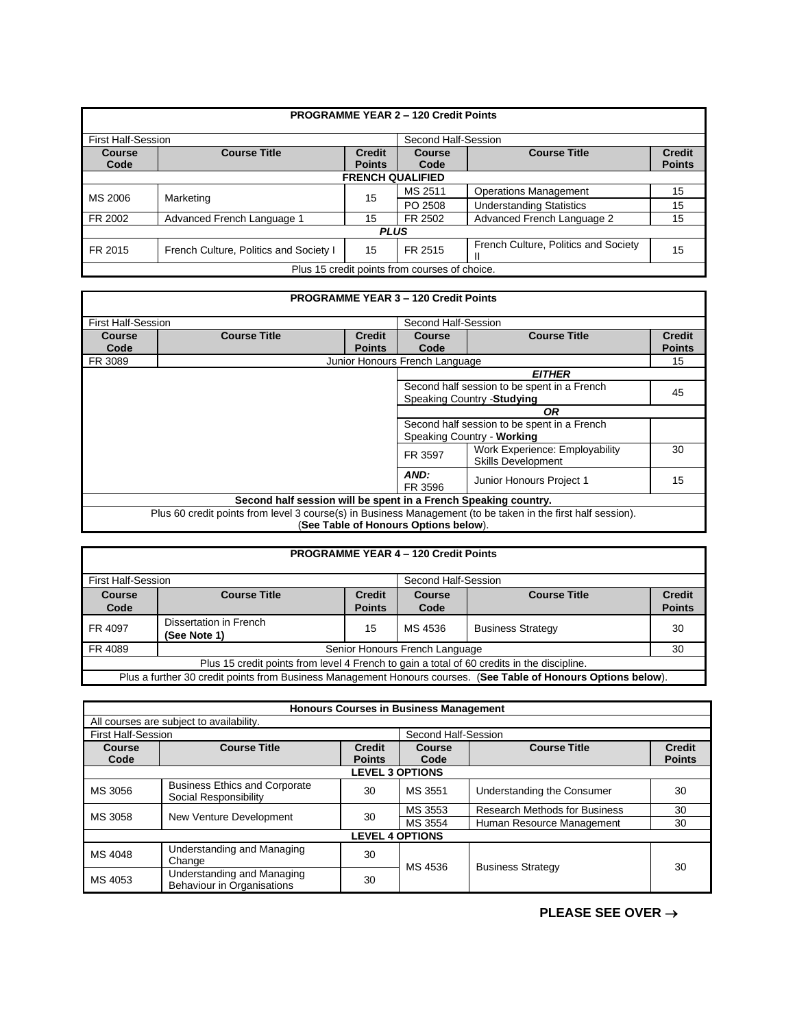|                           |                                        |                                | <b>PROGRAMME YEAR 2 - 120 Credit Points</b>   |                                           |                                |
|---------------------------|----------------------------------------|--------------------------------|-----------------------------------------------|-------------------------------------------|--------------------------------|
| <b>First Half-Session</b> |                                        |                                | Second Half-Session                           |                                           |                                |
| Course<br>Code            | <b>Course Title</b>                    | <b>Credit</b><br><b>Points</b> | <b>Course</b><br>Code                         | <b>Course Title</b>                       | <b>Credit</b><br><b>Points</b> |
|                           |                                        | <b>FRENCH QUALIFIED</b>        |                                               |                                           |                                |
|                           |                                        |                                | MS 2511                                       | <b>Operations Management</b>              | 15                             |
| MS 2006                   | Marketing                              | 15                             | PO 2508                                       | <b>Understanding Statistics</b>           | 15                             |
| FR 2002                   | Advanced French Language 1             | 15                             | FR 2502                                       | Advanced French Language 2                | 15                             |
| <b>PLUS</b>               |                                        |                                |                                               |                                           |                                |
| FR 2015                   | French Culture, Politics and Society I | 15                             | FR 2515                                       | French Culture, Politics and Society<br>Ш | 15                             |
|                           |                                        |                                | Plus 15 credit points from courses of choice. |                                           |                                |

|                                                                                                              |                                                  |                                      | <b>PROGRAMME YEAR 3 - 120 Credit Points</b> |                            |               |  |
|--------------------------------------------------------------------------------------------------------------|--------------------------------------------------|--------------------------------------|---------------------------------------------|----------------------------|---------------|--|
|                                                                                                              | <b>First Half-Session</b><br>Second Half-Session |                                      |                                             |                            |               |  |
| Course                                                                                                       | <b>Course Title</b>                              | <b>Credit</b>                        | <b>Course Title</b><br><b>Course</b>        |                            | <b>Credit</b> |  |
| Code                                                                                                         |                                                  | <b>Points</b>                        | Code                                        |                            | <b>Points</b> |  |
| FR 3089                                                                                                      |                                                  | Junior Honours French Language<br>15 |                                             |                            |               |  |
|                                                                                                              | <b>EITHER</b>                                    |                                      |                                             |                            |               |  |
|                                                                                                              | Second half session to be spent in a French      |                                      |                                             |                            |               |  |
|                                                                                                              | Speaking Country - Studying                      |                                      | 45                                          |                            |               |  |
| <b>OR</b>                                                                                                    |                                                  |                                      |                                             |                            |               |  |
|                                                                                                              | Second half session to be spent in a French      |                                      |                                             |                            |               |  |
|                                                                                                              |                                                  |                                      |                                             | Speaking Country - Working |               |  |
| Work Experience: Employability<br>FR 3597<br><b>Skills Development</b>                                       |                                                  |                                      |                                             | 30                         |               |  |
| AND:<br>Junior Honours Project 1<br>FR 3596                                                                  |                                                  |                                      |                                             | 15                         |               |  |
| Second half session will be spent in a French Speaking country.                                              |                                                  |                                      |                                             |                            |               |  |
| Plus 60 credit points from level 3 course(s) in Business Management (to be taken in the first half session). |                                                  |                                      |                                             |                            |               |  |
|                                                                                                              | (See Table of Honours Options below).            |                                      |                                             |                            |               |  |

| <b>PROGRAMME YEAR 4 - 120 Credit Points</b>                                                                     |                                                  |                                                       |                                |                          |               |
|-----------------------------------------------------------------------------------------------------------------|--------------------------------------------------|-------------------------------------------------------|--------------------------------|--------------------------|---------------|
|                                                                                                                 | <b>First Half-Session</b><br>Second Half-Session |                                                       |                                |                          |               |
| <b>Course</b>                                                                                                   | <b>Course Title</b>                              | <b>Course Title</b><br><b>Credit</b><br><b>Course</b> |                                | <b>Credit</b>            |               |
| Code                                                                                                            |                                                  | <b>Points</b>                                         | Code                           |                          | <b>Points</b> |
| FR 4097                                                                                                         | Dissertation in French<br>(See Note 1)           | 15                                                    | MS 4536                        | <b>Business Strategy</b> | 30            |
| FR 4089                                                                                                         |                                                  |                                                       | Senior Honours French Language |                          | 30            |
| Plus 15 credit points from level 4 French to gain a total of 60 credits in the discipline.                      |                                                  |                                                       |                                |                          |               |
| Plus a further 30 credit points from Business Management Honours courses. (See Table of Honours Options below). |                                                  |                                                       |                                |                          |               |

|                           |                                                               |               | <b>Honours Courses in Business Management</b> |                                      |               |  |
|---------------------------|---------------------------------------------------------------|---------------|-----------------------------------------------|--------------------------------------|---------------|--|
|                           | All courses are subject to availability.                      |               |                                               |                                      |               |  |
| <b>First Half-Session</b> |                                                               |               | Second Half-Session                           |                                      |               |  |
| Course                    | <b>Course Title</b>                                           | <b>Credit</b> | <b>Course</b>                                 | <b>Course Title</b>                  | <b>Credit</b> |  |
| Code                      |                                                               | <b>Points</b> | Code                                          |                                      | <b>Points</b> |  |
|                           |                                                               |               | <b>LEVEL 3 OPTIONS</b>                        |                                      |               |  |
| MS 3056                   | <b>Business Ethics and Corporate</b><br>Social Responsibility | 30            | MS 3551                                       | Understanding the Consumer           | 30            |  |
| MS 3058                   | New Venture Development                                       | 30            | MS 3553                                       | <b>Research Methods for Business</b> | 30            |  |
|                           |                                                               |               | MS 3554                                       | Human Resource Management            | 30            |  |
|                           | <b>LEVEL 4 OPTIONS</b>                                        |               |                                               |                                      |               |  |
| MS 4048                   | Understanding and Managing<br>Change                          | 30            | MS 4536                                       |                                      | 30            |  |
| MS 4053                   | Understanding and Managing<br>Behaviour in Organisations      | 30            |                                               | <b>Business Strategy</b>             |               |  |

**PLEASE SEE OVER** →